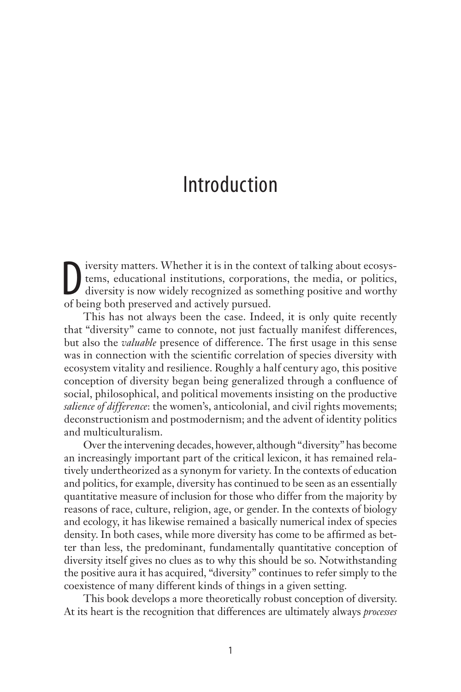$\sum_{\text{obs}}$ iversity matters. Whether it is in the context of talking about ecosystems, educational institutions, corporations, the media, or politics, diversity is now widely recognized as something positive and worthy of being both preserved and actively pursued.

This has not always been the case. Indeed, it is only quite recently that "diversity" came to connote, not just factually manifest differences, but also the *valuable* presence of difference. The first usage in this sense was in connection with the scientific correlation of species diversity with ecosystem vitality and resilience. Roughly a half century ago, this positive conception of diversity began being generalized through a confluence of social, philosophical, and political movements insisting on the productive *salience of difference*: the women's, anticolonial, and civil rights movements; deconstructionism and postmodernism; and the advent of identity politics and multiculturalism.

Over the intervening decades, however, although "diversity" has become an increasingly important part of the critical lexicon, it has remained relatively undertheorized as a synonym for variety. In the contexts of education and politics, for example, diversity has continued to be seen as an essentially quantitative measure of inclusion for those who differ from the majority by reasons of race, culture, religion, age, or gender. In the contexts of biology and ecology, it has likewise remained a basically numerical index of species density. In both cases, while more diversity has come to be affirmed as better than less, the predominant, fundamentally quantitative conception of diversity itself gives no clues as to why this should be so. Notwithstanding the positive aura it has acquired, "diversity" continues to refer simply to the coexistence of many different kinds of things in a given setting.

This book develops a more theoretically robust conception of diversity. At its heart is the recognition that differences are ultimately always *processes*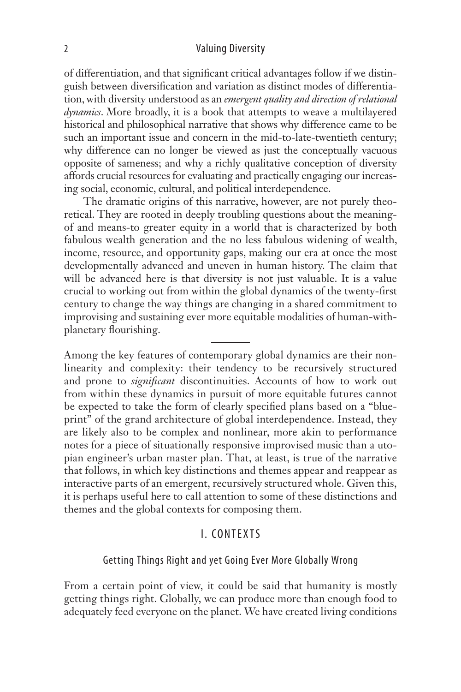of differentiation, and that significant critical advantages follow if we distinguish between diversification and variation as distinct modes of differentiation, with diversity understood as an *emergent quality and direction of relational dynamics*. More broadly, it is a book that attempts to weave a multilayered historical and philosophical narrative that shows why difference came to be such an important issue and concern in the mid-to-late-twentieth century; why difference can no longer be viewed as just the conceptually vacuous opposite of sameness; and why a richly qualitative conception of diversity affords crucial resources for evaluating and practically engaging our increasing social, economic, cultural, and political interdependence.

The dramatic origins of this narrative, however, are not purely theoretical. They are rooted in deeply troubling questions about the meaningof and means-to greater equity in a world that is characterized by both fabulous wealth generation and the no less fabulous widening of wealth, income, resource, and opportunity gaps, making our era at once the most developmentally advanced and uneven in human history. The claim that will be advanced here is that diversity is not just valuable. It is a value crucial to working out from within the global dynamics of the twenty-first century to change the way things are changing in a shared commitment to improvising and sustaining ever more equitable modalities of human-withplanetary flourishing.

Among the key features of contemporary global dynamics are their nonlinearity and complexity: their tendency to be recursively structured and prone to *significant* discontinuities. Accounts of how to work out from within these dynamics in pursuit of more equitable futures cannot be expected to take the form of clearly specified plans based on a "blueprint" of the grand architecture of global interdependence. Instead, they are likely also to be complex and nonlinear, more akin to performance notes for a piece of situationally responsive improvised music than a utopian engineer's urban master plan. That, at least, is true of the narrative that follows, in which key distinctions and themes appear and reappear as interactive parts of an emergent, recursively structured whole. Given this, it is perhaps useful here to call attention to some of these distinctions and themes and the global contexts for composing them.

# I. CONTEXTS

## Getting Things Right and yet Going Ever More Globally Wrong

From a certain point of view, it could be said that humanity is mostly getting things right. Globally, we can produce more than enough food to adequately feed everyone on the planet. We have created living conditions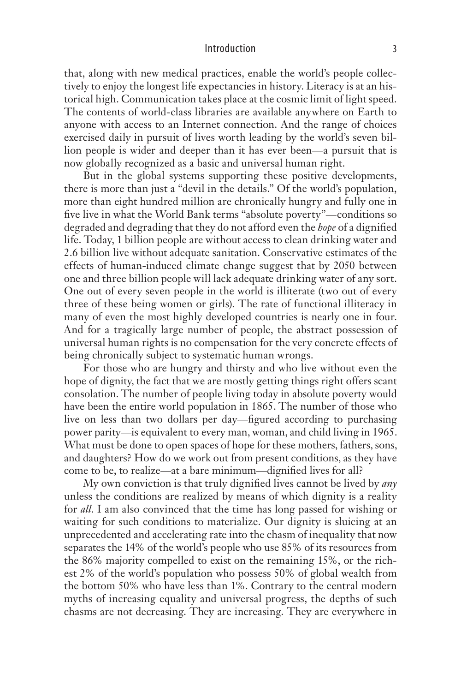that, along with new medical practices, enable the world's people collectively to enjoy the longest life expectancies in history. Literacy is at an historical high. Communication takes place at the cosmic limit of light speed. The contents of world-class libraries are available anywhere on Earth to anyone with access to an Internet connection. And the range of choices exercised daily in pursuit of lives worth leading by the world's seven billion people is wider and deeper than it has ever been—a pursuit that is now globally recognized as a basic and universal human right.

But in the global systems supporting these positive developments, there is more than just a "devil in the details." Of the world's population, more than eight hundred million are chronically hungry and fully one in five live in what the World Bank terms "absolute poverty"—conditions so degraded and degrading that they do not afford even the *hope* of a dignified life. Today, 1 billion people are without access to clean drinking water and 2.6 billion live without adequate sanitation. Conservative estimates of the effects of human-induced climate change suggest that by 2050 between one and three billion people will lack adequate drinking water of any sort. One out of every seven people in the world is illiterate (two out of every three of these being women or girls). The rate of functional illiteracy in many of even the most highly developed countries is nearly one in four. And for a tragically large number of people, the abstract possession of universal human rights is no compensation for the very concrete effects of being chronically subject to systematic human wrongs.

For those who are hungry and thirsty and who live without even the hope of dignity, the fact that we are mostly getting things right offers scant consolation. The number of people living today in absolute poverty would have been the entire world population in 1865. The number of those who live on less than two dollars per day—figured according to purchasing power parity—is equivalent to every man, woman, and child living in 1965. What must be done to open spaces of hope for these mothers, fathers, sons, and daughters? How do we work out from present conditions, as they have come to be, to realize—at a bare minimum—dignified lives for all?

My own conviction is that truly dignified lives cannot be lived by any unless the conditions are realized by means of which dignity is a reality for *all*. I am also convinced that the time has long passed for wishing or waiting for such conditions to materialize. Our dignity is sluicing at an unprecedented and accelerating rate into the chasm of inequality that now separates the 14% of the world's people who use 85% of its resources from the 86% majority compelled to exist on the remaining 15%, or the richest 2% of the world's population who possess 50% of global wealth from the bottom 50% who have less than 1%. Contrary to the central modern myths of increasing equality and universal progress, the depths of such chasms are not decreasing. They are increasing. They are everywhere in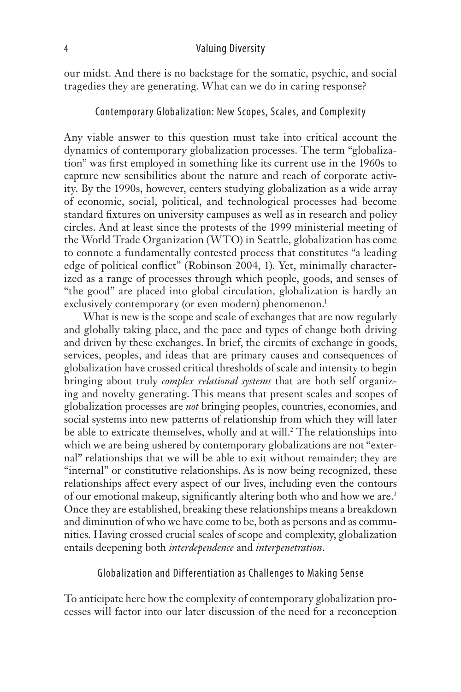our midst. And there is no backstage for the somatic, psychic, and social tragedies they are generating. What can we do in caring response?

# Contemporary Globalization: New Scopes, Scales, and Complexity

Any viable answer to this question must take into critical account the dynamics of contemporary globalization processes. The term "globalization" was first employed in something like its current use in the 1960s to capture new sensibilities about the nature and reach of corporate activity. By the 1990s, however, centers studying globalization as a wide array of economic, social, political, and technological processes had become standard fixtures on university campuses as well as in research and policy circles. And at least since the protests of the 1999 ministerial meeting of the World Trade Organization (WTO) in Seattle, globalization has come to connote a fundamentally contested process that constitutes "a leading edge of political conflict" (Robinson 2004, 1). Yet, minimally characterized as a range of processes through which people, goods, and senses of "the good" are placed into global circulation, globalization is hardly an exclusively contemporary (or even modern) phenomenon.<sup>1</sup>

What is new is the scope and scale of exchanges that are now regularly and globally taking place, and the pace and types of change both driving and driven by these exchanges. In brief, the circuits of exchange in goods, services, peoples, and ideas that are primary causes and consequences of globalization have crossed critical thresholds of scale and intensity to begin bringing about truly *complex relational systems* that are both self organizing and novelty generating. This means that present scales and scopes of globalization processes are *not* bringing peoples, countries, economies, and social systems into new patterns of relationship from which they will later be able to extricate themselves, wholly and at will.<sup>2</sup> The relationships into which we are being ushered by contemporary globalizations are not "external" relationships that we will be able to exit without remainder; they are "internal" or constitutive relationships. As is now being recognized, these relationships affect every aspect of our lives, including even the contours of our emotional makeup, significantly altering both who and how we are.<sup>3</sup> Once they are established, breaking these relationships means a breakdown and diminution of who we have come to be, both as persons and as communities. Having crossed crucial scales of scope and complexity, globalization entails deepening both *interdependence* and *interpenetration*.

# Globalization and Differentiation as Challenges to Making Sense

To anticipate here how the complexity of contemporary globalization processes will factor into our later discussion of the need for a reconception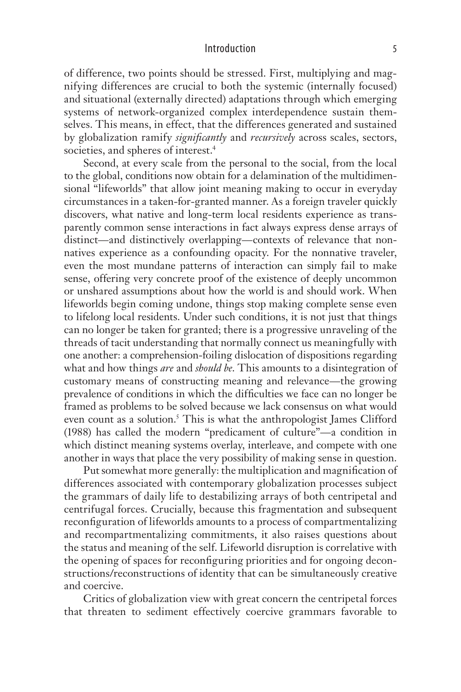of difference, two points should be stressed. First, multiplying and magnifying differences are crucial to both the systemic (internally focused) and situational (externally directed) adaptations through which emerging systems of network-organized complex interdependence sustain themselves. This means, in effect, that the differences generated and sustained by globalization ramify *significantly* and *recursively* across scales, sectors, societies, and spheres of interest.<sup>4</sup>

Second, at every scale from the personal to the social, from the local to the global, conditions now obtain for a delamination of the multidimensional "lifeworlds" that allow joint meaning making to occur in everyday circumstances in a taken-for-granted manner. As a foreign traveler quickly discovers, what native and long-term local residents experience as transparently common sense interactions in fact always express dense arrays of distinct—and distinctively overlapping—contexts of relevance that nonnatives experience as a confounding opacity. For the nonnative traveler, even the most mundane patterns of interaction can simply fail to make sense, offering very concrete proof of the existence of deeply uncommon or unshared assumptions about how the world is and should work. When lifeworlds begin coming undone, things stop making complete sense even to lifelong local residents. Under such conditions, it is not just that things can no longer be taken for granted; there is a progressive unraveling of the threads of tacit understanding that normally connect us meaningfully with one another: a comprehension-foiling dislocation of dispositions regarding what and how things *are* and *should be*. This amounts to a disintegration of customary means of constructing meaning and relevance—the growing prevalence of conditions in which the difficulties we face can no longer be framed as problems to be solved because we lack consensus on what would even count as a solution.<sup>5</sup> This is what the anthropologist James Clifford (1988) has called the modern "predicament of culture"—a condition in which distinct meaning systems overlay, interleave, and compete with one another in ways that place the very possibility of making sense in question.

Put somewhat more generally: the multiplication and magnification of differences associated with contemporary globalization processes subject the grammars of daily life to destabilizing arrays of both centripetal and centrifugal forces. Crucially, because this fragmentation and subsequent reconfiguration of lifeworlds amounts to a process of compartmentalizing and recompartmentalizing commitments, it also raises questions about the status and meaning of the self. Lifeworld disruption is correlative with the opening of spaces for reconfiguring priorities and for ongoing deconstructions/reconstructions of identity that can be simultaneously creative and coercive.

Critics of globalization view with great concern the centripetal forces that threaten to sediment effectively coercive grammars favorable to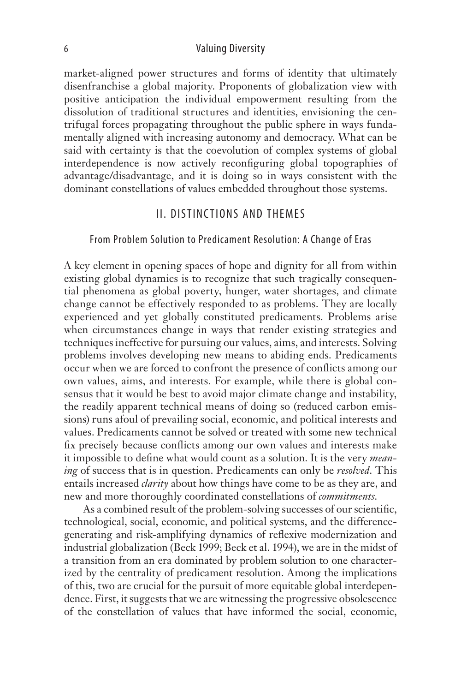market-aligned power structures and forms of identity that ultimately disenfranchise a global majority. Proponents of globalization view with positive anticipation the individual empowerment resulting from the dissolution of traditional structures and identities, envisioning the centrifugal forces propagating throughout the public sphere in ways fundamentally aligned with increasing autonomy and democracy. What can be said with certainty is that the coevolution of complex systems of global interdependence is now actively reconfiguring global topographies of advantage/disadvantage, and it is doing so in ways consistent with the dominant constellations of values embedded throughout those systems.

# II. DISTINCTIONS AND THEMES

## From Problem Solution to Predicament Resolution: A Change of Eras

A key element in opening spaces of hope and dignity for all from within existing global dynamics is to recognize that such tragically consequential phenomena as global poverty, hunger, water shortages, and climate change cannot be effectively responded to as problems. They are locally experienced and yet globally constituted predicaments. Problems arise when circumstances change in ways that render existing strategies and techniques ineffective for pursuing our values, aims, and interests. Solving problems involves developing new means to abiding ends. Predicaments occur when we are forced to confront the presence of conflicts among our own values, aims, and interests. For example, while there is global consensus that it would be best to avoid major climate change and instability, the readily apparent technical means of doing so (reduced carbon emissions) runs afoul of prevailing social, economic, and political interests and values. Predicaments cannot be solved or treated with some new technical fix precisely because conflicts among our own values and interests make it impossible to define what would count as a solution. It is the very *meaning* of success that is in question. Predicaments can only be *resolved*. This entails increased *clarity* about how things have come to be as they are, and new and more thoroughly coordinated constellations of *commitments*.

As a combined result of the problem-solving successes of our scientific, technological, social, economic, and political systems, and the differencegenerating and risk-amplifying dynamics of reflexive modernization and industrial globalization (Beck 1999; Beck et al. 1994), we are in the midst of a transition from an era dominated by problem solution to one characterized by the centrality of predicament resolution. Among the implications of this, two are crucial for the pursuit of more equitable global interdependence. First, it suggests that we are witnessing the progressive obsolescence of the constellation of values that have informed the social, economic,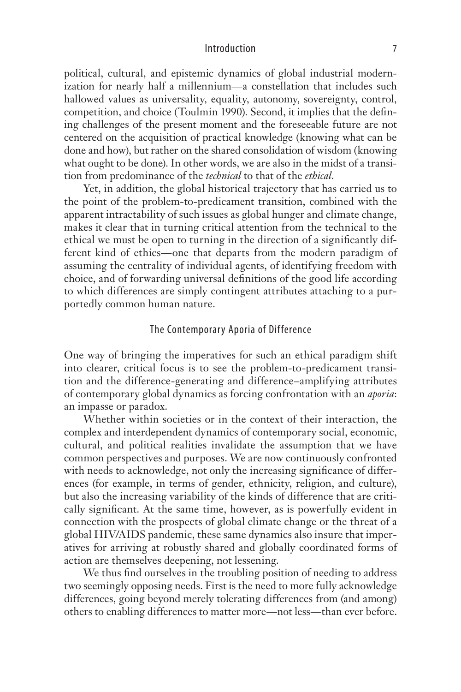political, cultural, and epistemic dynamics of global industrial modernization for nearly half a millennium—a constellation that includes such hallowed values as universality, equality, autonomy, sovereignty, control, competition, and choice (Toulmin 1990). Second, it implies that the defining challenges of the present moment and the foreseeable future are not centered on the acquisition of practical knowledge (knowing what can be done and how), but rather on the shared consolidation of wisdom (knowing what ought to be done). In other words, we are also in the midst of a transition from predominance of the *technical* to that of the *ethical*.

Yet, in addition, the global historical trajectory that has carried us to the point of the problem-to-predicament transition, combined with the apparent intractability of such issues as global hunger and climate change, makes it clear that in turning critical attention from the technical to the ethical we must be open to turning in the direction of a significantly different kind of ethics—one that departs from the modern paradigm of assuming the centrality of individual agents, of identifying freedom with choice, and of forwarding universal definitions of the good life according to which differences are simply contingent attributes attaching to a purportedly common human nature.

## The Contemporary Aporia of Difference

One way of bringing the imperatives for such an ethical paradigm shift into clearer, critical focus is to see the problem-to-predicament transition and the difference-generating and difference–amplifying attributes of contemporary global dynamics as forcing confrontation with an *aporia*: an impasse or paradox.

Whether within societies or in the context of their interaction, the complex and interdependent dynamics of contemporary social, economic, cultural, and political realities invalidate the assumption that we have common perspectives and purposes. We are now continuously confronted with needs to acknowledge, not only the increasing significance of differences (for example, in terms of gender, ethnicity, religion, and culture), but also the increasing variability of the kinds of difference that are critically significant. At the same time, however, as is powerfully evident in connection with the prospects of global climate change or the threat of a global HIV/AIDS pandemic, these same dynamics also insure that imperatives for arriving at robustly shared and globally coordinated forms of action are themselves deepening, not lessening.

We thus find ourselves in the troubling position of needing to address two seemingly opposing needs. First is the need to more fully acknowledge differences, going beyond merely tolerating differences from (and among) others to enabling differences to matter more—not less—than ever before.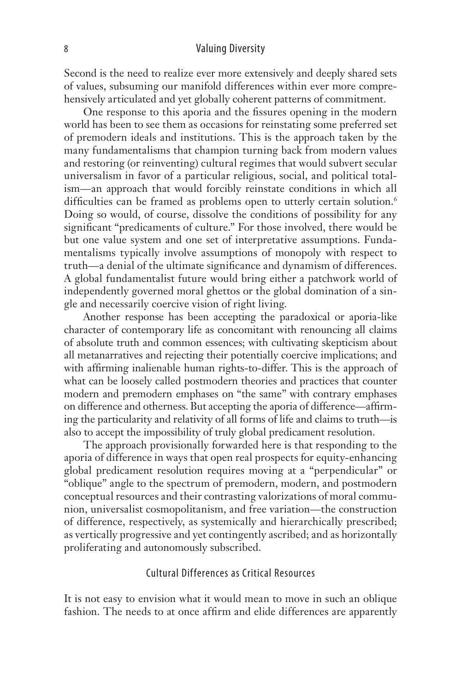Second is the need to realize ever more extensively and deeply shared sets of values, subsuming our manifold differences within ever more comprehensively articulated and yet globally coherent patterns of commitment.

One response to this aporia and the fissures opening in the modern world has been to see them as occasions for reinstating some preferred set of premodern ideals and institutions. This is the approach taken by the many fundamentalisms that champion turning back from modern values and restoring (or reinventing) cultural regimes that would subvert secular universalism in favor of a particular religious, social, and political totalism—an approach that would forcibly reinstate conditions in which all difficulties can be framed as problems open to utterly certain solution.<sup>6</sup> Doing so would, of course, dissolve the conditions of possibility for any significant "predicaments of culture." For those involved, there would be but one value system and one set of interpretative assumptions. Fundamentalisms typically involve assumptions of monopoly with respect to truth—a denial of the ultimate significance and dynamism of differences. A global fundamentalist future would bring either a patchwork world of independently governed moral ghettos or the global domination of a single and necessarily coercive vision of right living.

Another response has been accepting the paradoxical or aporia-like character of contemporary life as concomitant with renouncing all claims of absolute truth and common essences; with cultivating skepticism about all metanarratives and rejecting their potentially coercive implications; and with affirming inalienable human rights-to-differ. This is the approach of what can be loosely called postmodern theories and practices that counter modern and premodern emphases on "the same" with contrary emphases on difference and otherness. But accepting the aporia of difference—affirming the particularity and relativity of all forms of life and claims to truth—is also to accept the impossibility of truly global predicament resolution.

The approach provisionally forwarded here is that responding to the aporia of difference in ways that open real prospects for equity-enhancing global predicament resolution requires moving at a "perpendicular" or "oblique" angle to the spectrum of premodern, modern, and postmodern conceptual resources and their contrasting valorizations of moral communion, universalist cosmopolitanism, and free variation—the construction of difference, respectively, as systemically and hierarchically prescribed; as vertically progressive and yet contingently ascribed; and as horizontally proliferating and autonomously subscribed.

# Cultural Differences as Critical Resources

It is not easy to envision what it would mean to move in such an oblique fashion. The needs to at once affirm and elide differences are apparently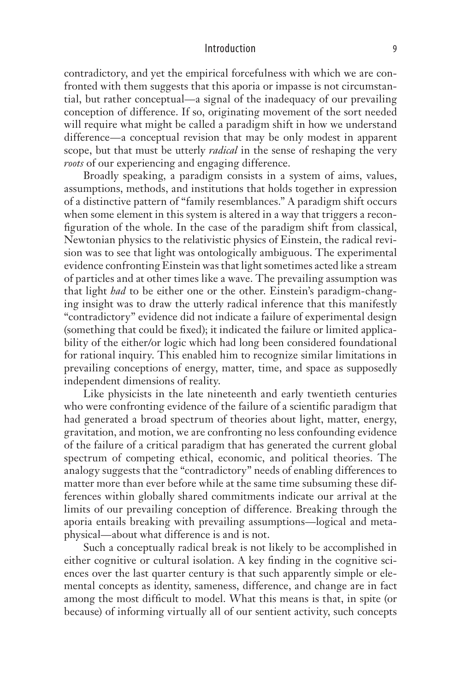contradictory, and yet the empirical forcefulness with which we are confronted with them suggests that this aporia or impasse is not circumstantial, but rather conceptual—a signal of the inadequacy of our prevailing conception of difference. If so, originating movement of the sort needed will require what might be called a paradigm shift in how we understand difference—a conceptual revision that may be only modest in apparent scope, but that must be utterly *radical* in the sense of reshaping the very *roots* of our experiencing and engaging difference.

Broadly speaking, a paradigm consists in a system of aims, values, assumptions, methods, and institutions that holds together in expression of a distinctive pattern of "family resemblances." A paradigm shift occurs when some element in this system is altered in a way that triggers a reconfiguration of the whole. In the case of the paradigm shift from classical, Newtonian physics to the relativistic physics of Einstein, the radical revision was to see that light was ontologically ambiguous. The experimental evidence confronting Einstein was that light sometimes acted like a stream of particles and at other times like a wave. The prevailing assumption was that light *had* to be either one or the other. Einstein's paradigm-changing insight was to draw the utterly radical inference that this manifestly "contradictory" evidence did not indicate a failure of experimental design (something that could be fixed); it indicated the failure or limited applicability of the either/or logic which had long been considered foundational for rational inquiry. This enabled him to recognize similar limitations in prevailing conceptions of energy, matter, time, and space as supposedly independent dimensions of reality.

Like physicists in the late nineteenth and early twentieth centuries who were confronting evidence of the failure of a scientific paradigm that had generated a broad spectrum of theories about light, matter, energy, gravitation, and motion, we are confronting no less confounding evidence of the failure of a critical paradigm that has generated the current global spectrum of competing ethical, economic, and political theories. The analogy suggests that the "contradictory" needs of enabling differences to matter more than ever before while at the same time subsuming these differences within globally shared commitments indicate our arrival at the limits of our prevailing conception of difference. Breaking through the aporia entails breaking with prevailing assumptions—logical and metaphysical—about what difference is and is not.

Such a conceptually radical break is not likely to be accomplished in either cognitive or cultural isolation. A key finding in the cognitive sciences over the last quarter century is that such apparently simple or elemental concepts as identity, sameness, difference, and change are in fact among the most difficult to model. What this means is that, in spite (or because) of informing virtually all of our sentient activity, such concepts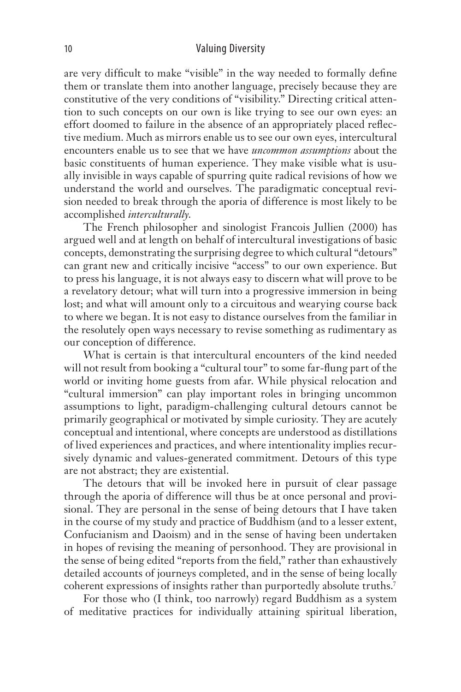are very difficult to make "visible" in the way needed to formally define them or translate them into another language, precisely because they are constitutive of the very conditions of "visibility." Directing critical attention to such concepts on our own is like trying to see our own eyes: an effort doomed to failure in the absence of an appropriately placed reflective medium. Much as mirrors enable us to see our own eyes, intercultural encounters enable us to see that we have *uncommon assumptions* about the basic constituents of human experience. They make visible what is usually invisible in ways capable of spurring quite radical revisions of how we understand the world and ourselves. The paradigmatic conceptual revision needed to break through the aporia of difference is most likely to be accomplished *interculturally*.

The French philosopher and sinologist Francois Jullien (2000) has argued well and at length on behalf of intercultural investigations of basic concepts, demonstrating the surprising degree to which cultural "detours" can grant new and critically incisive "access" to our own experience. But to press his language, it is not always easy to discern what will prove to be a revelatory detour; what will turn into a progressive immersion in being lost; and what will amount only to a circuitous and wearying course back to where we began. It is not easy to distance ourselves from the familiar in the resolutely open ways necessary to revise something as rudimentary as our conception of difference.

What is certain is that intercultural encounters of the kind needed will not result from booking a "cultural tour" to some far-flung part of the world or inviting home guests from afar. While physical relocation and "cultural immersion" can play important roles in bringing uncommon assumptions to light, paradigm-challenging cultural detours cannot be primarily geographical or motivated by simple curiosity. They are acutely conceptual and intentional, where concepts are understood as distillations of lived experiences and practices, and where intentionality implies recursively dynamic and values-generated commitment. Detours of this type are not abstract; they are existential.

The detours that will be invoked here in pursuit of clear passage through the aporia of difference will thus be at once personal and provisional. They are personal in the sense of being detours that I have taken in the course of my study and practice of Buddhism (and to a lesser extent, Confucianism and Daoism) and in the sense of having been undertaken in hopes of revising the meaning of personhood. They are provisional in the sense of being edited "reports from the field," rather than exhaustively detailed accounts of journeys completed, and in the sense of being locally coherent expressions of insights rather than purportedly absolute truths.7

For those who (I think, too narrowly) regard Buddhism as a system of meditative practices for individually attaining spiritual liberation,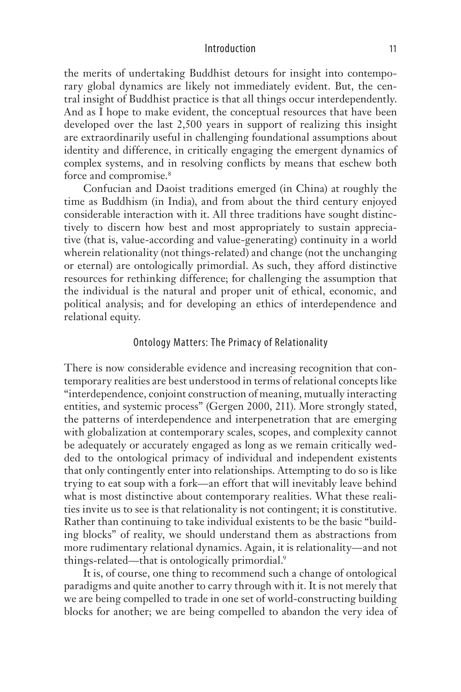the merits of undertaking Buddhist detours for insight into contemporary global dynamics are likely not immediately evident. But, the central insight of Buddhist practice is that all things occur interdependently. And as I hope to make evident, the conceptual resources that have been developed over the last 2,500 years in support of realizing this insight are extraordinarily useful in challenging foundational assumptions about identity and difference, in critically engaging the emergent dynamics of complex systems, and in resolving conflicts by means that eschew both force and compromise.<sup>8</sup>

Confucian and Daoist traditions emerged (in China) at roughly the time as Buddhism (in India), and from about the third century enjoyed considerable interaction with it. All three traditions have sought distinctively to discern how best and most appropriately to sustain appreciative (that is, value-according and value-generating) continuity in a world wherein relationality (not things-related) and change (not the unchanging or eternal) are ontologically primordial. As such, they afford distinctive resources for rethinking difference; for challenging the assumption that the individual is the natural and proper unit of ethical, economic, and political analysis; and for developing an ethics of interdependence and relational equity.

# Ontology Matters: The Primacy of Relationality

There is now considerable evidence and increasing recognition that contemporary realities are best understood in terms of relational concepts like "interdependence, conjoint construction of meaning, mutually interacting entities, and systemic process" (Gergen 2000, 211). More strongly stated, the patterns of interdependence and interpenetration that are emerging with globalization at contemporary scales, scopes, and complexity cannot be adequately or accurately engaged as long as we remain critically wedded to the ontological primacy of individual and independent existents that only contingently enter into relationships. Attempting to do so is like trying to eat soup with a fork—an effort that will inevitably leave behind what is most distinctive about contemporary realities. What these realities invite us to see is that relationality is not contingent; it is constitutive. Rather than continuing to take individual existents to be the basic "building blocks" of reality, we should understand them as abstractions from more rudimentary relational dynamics. Again, it is relationality—and not things-related—that is ontologically primordial.9

It is, of course, one thing to recommend such a change of ontological paradigms and quite another to carry through with it. It is not merely that we are being compelled to trade in one set of world-constructing building blocks for another; we are being compelled to abandon the very idea of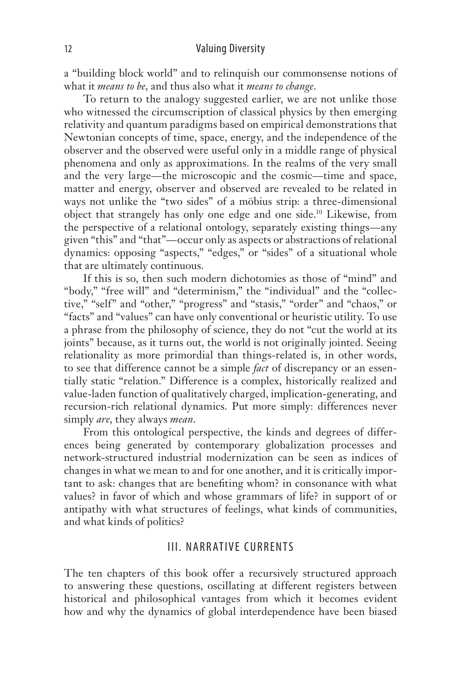a "building block world" and to relinquish our commonsense notions of what it *means to be*, and thus also what it *means to change*.

To return to the analogy suggested earlier, we are not unlike those who witnessed the circumscription of classical physics by then emerging relativity and quantum paradigms based on empirical demonstrations that Newtonian concepts of time, space, energy, and the independence of the observer and the observed were useful only in a middle range of physical phenomena and only as approximations. In the realms of the very small and the very large—the microscopic and the cosmic—time and space, matter and energy, observer and observed are revealed to be related in ways not unlike the "two sides" of a möbius strip: a three-dimensional object that strangely has only one edge and one side.10 Likewise, from the perspective of a relational ontology, separately existing things—any given "this" and "that"—occur only as aspects or abstractions of relational dynamics: opposing "aspects," "edges," or "sides" of a situational whole that are ultimately continuous.

If this is so, then such modern dichotomies as those of "mind" and "body," "free will" and "determinism," the "individual" and the "collective," "self" and "other," "progress" and "stasis," "order" and "chaos," or "facts" and "values" can have only conventional or heuristic utility. To use a phrase from the philosophy of science, they do not "cut the world at its joints" because, as it turns out, the world is not originally jointed. Seeing relationality as more primordial than things-related is, in other words, to see that difference cannot be a simple *fact* of discrepancy or an essentially static "relation." Difference is a complex, historically realized and value-laden function of qualitatively charged, implication-generating, and recursion-rich relational dynamics. Put more simply: differences never simply *are*, they always *mean*.

From this ontological perspective, the kinds and degrees of differences being generated by contemporary globalization processes and network-structured industrial modernization can be seen as indices of changes in what we mean to and for one another, and it is critically important to ask: changes that are benefiting whom? in consonance with what values? in favor of which and whose grammars of life? in support of or antipathy with what structures of feelings, what kinds of communities, and what kinds of politics?

# III. NARRATIVE CURRENTS

The ten chapters of this book offer a recursively structured approach to answering these questions, oscillating at different registers between historical and philosophical vantages from which it becomes evident how and why the dynamics of global interdependence have been biased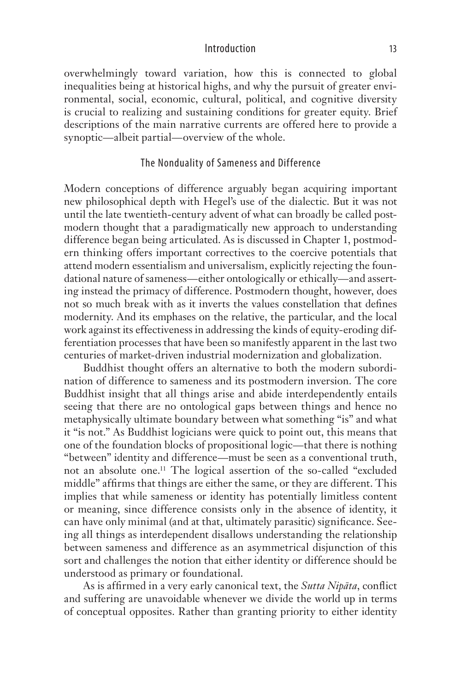overwhelmingly toward variation, how this is connected to global inequalities being at historical highs, and why the pursuit of greater environmental, social, economic, cultural, political, and cognitive diversity is crucial to realizing and sustaining conditions for greater equity. Brief descriptions of the main narrative currents are offered here to provide a synoptic—albeit partial—overview of the whole.

#### The Nonduality of Sameness and Difference

Modern conceptions of difference arguably began acquiring important new philosophical depth with Hegel's use of the dialectic. But it was not until the late twentieth-century advent of what can broadly be called postmodern thought that a paradigmatically new approach to understanding difference began being articulated. As is discussed in Chapter 1, postmodern thinking offers important correctives to the coercive potentials that attend modern essentialism and universalism, explicitly rejecting the foundational nature of sameness—either ontologically or ethically—and asserting instead the primacy of difference. Postmodern thought, however, does not so much break with as it inverts the values constellation that defines modernity. And its emphases on the relative, the particular, and the local work against its effectiveness in addressing the kinds of equity-eroding differentiation processes that have been so manifestly apparent in the last two centuries of market-driven industrial modernization and globalization.

Buddhist thought offers an alternative to both the modern subordination of difference to sameness and its postmodern inversion. The core Buddhist insight that all things arise and abide interdependently entails seeing that there are no ontological gaps between things and hence no metaphysically ultimate boundary between what something "is" and what it "is not." As Buddhist logicians were quick to point out, this means that one of the foundation blocks of propositional logic—that there is nothing "between" identity and difference—must be seen as a conventional truth, not an absolute one.<sup>11</sup> The logical assertion of the so-called "excluded" middle" affirms that things are either the same, or they are different. This implies that while sameness or identity has potentially limitless content or meaning, since difference consists only in the absence of identity, it can have only minimal (and at that, ultimately parasitic) significance. Seeing all things as interdependent disallows understanding the relationship between sameness and difference as an asymmetrical disjunction of this sort and challenges the notion that either identity or difference should be understood as primary or foundational.

As is affirmed in a very early canonical text, the *Sutta Nipāta*, conflict and suffering are unavoidable whenever we divide the world up in terms of conceptual opposites. Rather than granting priority to either identity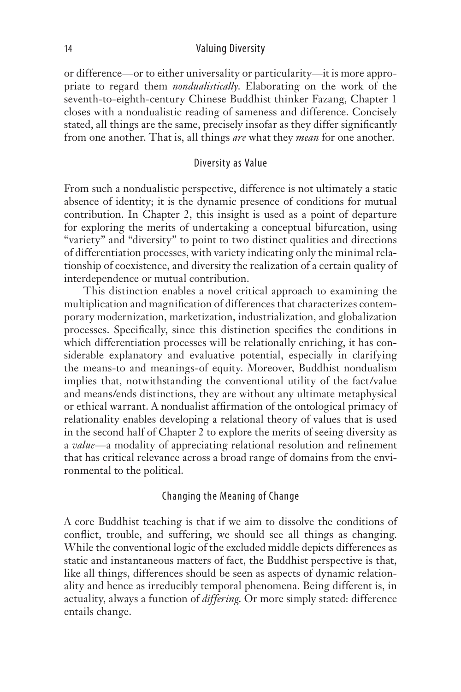or difference—or to either universality or particularity—it is more appropriate to regard them *nondualistically*. Elaborating on the work of the seventh-to-eighth-century Chinese Buddhist thinker Fazang, Chapter 1 closes with a nondualistic reading of sameness and difference. Concisely stated, all things are the same, precisely insofar as they differ significantly from one another. That is, all things *are* what they *mean* for one another.

## Diversity as Value

From such a nondualistic perspective, difference is not ultimately a static absence of identity; it is the dynamic presence of conditions for mutual contribution. In Chapter 2, this insight is used as a point of departure for exploring the merits of undertaking a conceptual bifurcation, using "variety" and "diversity" to point to two distinct qualities and directions of differentiation processes, with variety indicating only the minimal relationship of coexistence, and diversity the realization of a certain quality of interdependence or mutual contribution.

This distinction enables a novel critical approach to examining the multiplication and magnification of differences that characterizes contemporary modernization, marketization, industrialization, and globalization processes. Specifically, since this distinction specifies the conditions in which differentiation processes will be relationally enriching, it has considerable explanatory and evaluative potential, especially in clarifying the means-to and meanings-of equity. Moreover, Buddhist nondualism implies that, notwithstanding the conventional utility of the fact/value and means/ends distinctions, they are without any ultimate metaphysical or ethical warrant. A nondualist affirmation of the ontological primacy of relationality enables developing a relational theory of values that is used in the second half of Chapter 2 to explore the merits of seeing diversity as a *value*—a modality of appreciating relational resolution and refinement that has critical relevance across a broad range of domains from the environmental to the political.

## Changing the Meaning of Change

A core Buddhist teaching is that if we aim to dissolve the conditions of conflict, trouble, and suffering, we should see all things as changing. While the conventional logic of the excluded middle depicts differences as static and instantaneous matters of fact, the Buddhist perspective is that, like all things, differences should be seen as aspects of dynamic relationality and hence as irreducibly temporal phenomena. Being different is, in actuality, always a function of *differing*. Or more simply stated: difference entails change.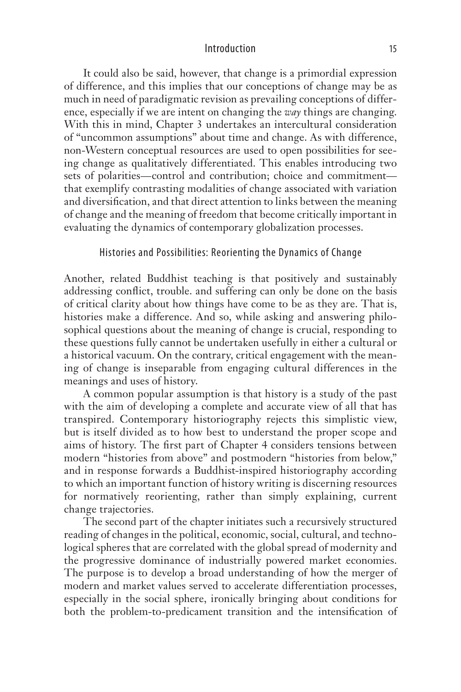It could also be said, however, that change is a primordial expression of difference, and this implies that our conceptions of change may be as much in need of paradigmatic revision as prevailing conceptions of difference, especially if we are intent on changing the *way* things are changing. With this in mind, Chapter 3 undertakes an intercultural consideration of "uncommon assumptions" about time and change. As with difference, non-Western conceptual resources are used to open possibilities for seeing change as qualitatively differentiated. This enables introducing two sets of polarities—control and contribution; choice and commitment that exemplify contrasting modalities of change associated with variation and diversification, and that direct attention to links between the meaning of change and the meaning of freedom that become critically important in evaluating the dynamics of contemporary globalization processes.

Histories and Possibilities: Reorienting the Dynamics of Change

Another, related Buddhist teaching is that positively and sustainably addressing conflict, trouble. and suffering can only be done on the basis of critical clarity about how things have come to be as they are. That is, histories make a difference. And so, while asking and answering philosophical questions about the meaning of change is crucial, responding to these questions fully cannot be undertaken usefully in either a cultural or a historical vacuum. On the contrary, critical engagement with the meaning of change is inseparable from engaging cultural differences in the meanings and uses of history.

A common popular assumption is that history is a study of the past with the aim of developing a complete and accurate view of all that has transpired. Contemporary historiography rejects this simplistic view, but is itself divided as to how best to understand the proper scope and aims of history. The first part of Chapter 4 considers tensions between modern "histories from above" and postmodern "histories from below," and in response forwards a Buddhist-inspired historiography according to which an important function of history writing is discerning resources for normatively reorienting, rather than simply explaining, current change trajectories.

The second part of the chapter initiates such a recursively structured reading of changes in the political, economic, social, cultural, and technological spheres that are correlated with the global spread of modernity and the progressive dominance of industrially powered market economies. The purpose is to develop a broad understanding of how the merger of modern and market values served to accelerate differentiation processes, especially in the social sphere, ironically bringing about conditions for both the problem-to-predicament transition and the intensification of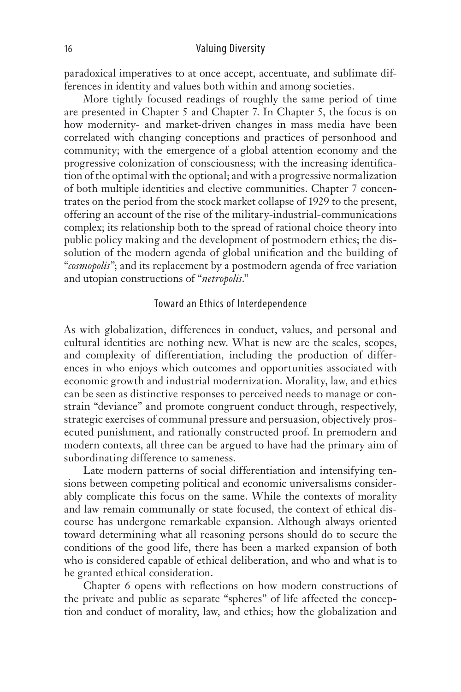paradoxical imperatives to at once accept, accentuate, and sublimate differences in identity and values both within and among societies.

More tightly focused readings of roughly the same period of time are presented in Chapter 5 and Chapter 7. In Chapter 5, the focus is on how modernity- and market-driven changes in mass media have been correlated with changing conceptions and practices of personhood and community; with the emergence of a global attention economy and the progressive colonization of consciousness; with the increasing identification of the optimal with the optional; and with a progressive normalization of both multiple identities and elective communities. Chapter 7 concentrates on the period from the stock market collapse of 1929 to the present, offering an account of the rise of the military-industrial-communications complex; its relationship both to the spread of rational choice theory into public policy making and the development of postmodern ethics; the dissolution of the modern agenda of global unification and the building of "*cosmopolis*"; and its replacement by a postmodern agenda of free variation and utopian constructions of "*netropolis*."

## Toward an Ethics of Interdependence

As with globalization, differences in conduct, values, and personal and cultural identities are nothing new. What is new are the scales, scopes, and complexity of differentiation, including the production of differences in who enjoys which outcomes and opportunities associated with economic growth and industrial modernization. Morality, law, and ethics can be seen as distinctive responses to perceived needs to manage or constrain "deviance" and promote congruent conduct through, respectively, strategic exercises of communal pressure and persuasion, objectively prosecuted punishment, and rationally constructed proof. In premodern and modern contexts, all three can be argued to have had the primary aim of subordinating difference to sameness.

Late modern patterns of social differentiation and intensifying tensions between competing political and economic universalisms considerably complicate this focus on the same. While the contexts of morality and law remain communally or state focused, the context of ethical discourse has undergone remarkable expansion. Although always oriented toward determining what all reasoning persons should do to secure the conditions of the good life, there has been a marked expansion of both who is considered capable of ethical deliberation, and who and what is to be granted ethical consideration.

Chapter 6 opens with reflections on how modern constructions of the private and public as separate "spheres" of life affected the conception and conduct of morality, law, and ethics; how the globalization and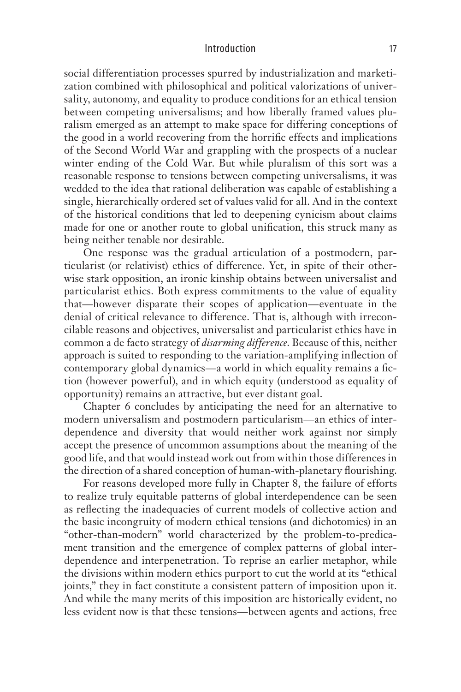social differentiation processes spurred by industrialization and marketization combined with philosophical and political valorizations of universality, autonomy, and equality to produce conditions for an ethical tension between competing universalisms; and how liberally framed values pluralism emerged as an attempt to make space for differing conceptions of the good in a world recovering from the horrific effects and implications of the Second World War and grappling with the prospects of a nuclear winter ending of the Cold War. But while pluralism of this sort was a reasonable response to tensions between competing universalisms, it was wedded to the idea that rational deliberation was capable of establishing a single, hierarchically ordered set of values valid for all. And in the context of the historical conditions that led to deepening cynicism about claims made for one or another route to global unification, this struck many as being neither tenable nor desirable.

One response was the gradual articulation of a postmodern, particularist (or relativist) ethics of difference. Yet, in spite of their otherwise stark opposition, an ironic kinship obtains between universalist and particularist ethics. Both express commitments to the value of equality that—however disparate their scopes of application—eventuate in the denial of critical relevance to difference. That is, although with irreconcilable reasons and objectives, universalist and particularist ethics have in common a de facto strategy of *disarming difference*. Because of this, neither approach is suited to responding to the variation-amplifying inflection of contemporary global dynamics—a world in which equality remains a fiction (however powerful), and in which equity (understood as equality of opportunity) remains an attractive, but ever distant goal.

Chapter 6 concludes by anticipating the need for an alternative to modern universalism and postmodern particularism—an ethics of interdependence and diversity that would neither work against nor simply accept the presence of uncommon assumptions about the meaning of the good life, and that would instead work out from within those differences in the direction of a shared conception of human-with-planetary flourishing.

For reasons developed more fully in Chapter 8, the failure of efforts to realize truly equitable patterns of global interdependence can be seen as reflecting the inadequacies of current models of collective action and the basic incongruity of modern ethical tensions (and dichotomies) in an "other-than-modern" world characterized by the problem-to-predicament transition and the emergence of complex patterns of global interdependence and interpenetration. To reprise an earlier metaphor, while the divisions within modern ethics purport to cut the world at its "ethical joints," they in fact constitute a consistent pattern of imposition upon it. And while the many merits of this imposition are historically evident, no less evident now is that these tensions—between agents and actions, free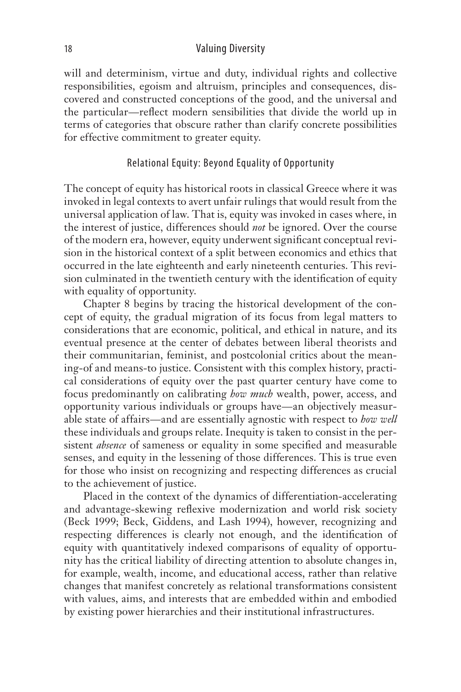will and determinism, virtue and duty, individual rights and collective responsibilities, egoism and altruism, principles and consequences, discovered and constructed conceptions of the good, and the universal and the particular—reflect modern sensibilities that divide the world up in terms of categories that obscure rather than clarify concrete possibilities for effective commitment to greater equity.

## Relational Equity: Beyond Equality of Opportunity

The concept of equity has historical roots in classical Greece where it was invoked in legal contexts to avert unfair rulings that would result from the universal application of law. That is, equity was invoked in cases where, in the interest of justice, differences should *not* be ignored. Over the course of the modern era, however, equity underwent significant conceptual revision in the historical context of a split between economics and ethics that occurred in the late eighteenth and early nineteenth centuries. This revision culminated in the twentieth century with the identification of equity with equality of opportunity.

Chapter 8 begins by tracing the historical development of the concept of equity, the gradual migration of its focus from legal matters to considerations that are economic, political, and ethical in nature, and its eventual presence at the center of debates between liberal theorists and their communitarian, feminist, and postcolonial critics about the meaning-of and means-to justice. Consistent with this complex history, practical considerations of equity over the past quarter century have come to focus predominantly on calibrating *how much* wealth, power, access, and opportunity various individuals or groups have—an objectively measurable state of affairs—and are essentially agnostic with respect to *how well* these individuals and groups relate. Inequity is taken to consist in the persistent *absence* of sameness or equality in some specified and measurable senses, and equity in the lessening of those differences. This is true even for those who insist on recognizing and respecting differences as crucial to the achievement of justice.

Placed in the context of the dynamics of differentiation-accelerating and advantage-skewing reflexive modernization and world risk society (Beck 1999; Beck, Giddens, and Lash 1994), however, recognizing and respecting differences is clearly not enough, and the identification of equity with quantitatively indexed comparisons of equality of opportunity has the critical liability of directing attention to absolute changes in, for example, wealth, income, and educational access, rather than relative changes that manifest concretely as relational transformations consistent with values, aims, and interests that are embedded within and embodied by existing power hierarchies and their institutional infrastructures.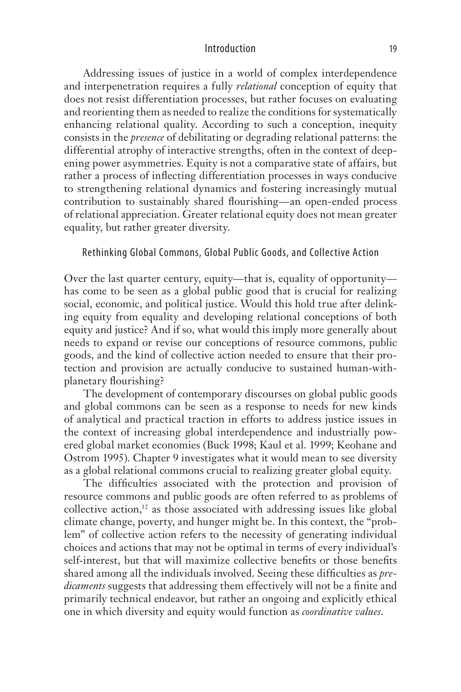Addressing issues of justice in a world of complex interdependence and interpenetration requires a fully *relational* conception of equity that does not resist differentiation processes, but rather focuses on evaluating and reorienting them as needed to realize the conditions for systematically enhancing relational quality. According to such a conception, inequity consists in the *presence* of debilitating or degrading relational patterns: the differential atrophy of interactive strengths, often in the context of deepening power asymmetries. Equity is not a comparative state of affairs, but rather a process of inflecting differentiation processes in ways conducive to strengthening relational dynamics and fostering increasingly mutual contribution to sustainably shared flourishing—an open-ended process of relational appreciation. Greater relational equity does not mean greater equality, but rather greater diversity.

Rethinking Global Commons, Global Public Goods, and Collective Action

Over the last quarter century, equity—that is, equality of opportunity has come to be seen as a global public good that is crucial for realizing social, economic, and political justice. Would this hold true after delinking equity from equality and developing relational conceptions of both equity and justice? And if so, what would this imply more generally about needs to expand or revise our conceptions of resource commons, public goods, and the kind of collective action needed to ensure that their protection and provision are actually conducive to sustained human-withplanetary flourishing?

The development of contemporary discourses on global public goods and global commons can be seen as a response to needs for new kinds of analytical and practical traction in efforts to address justice issues in the context of increasing global interdependence and industrially powered global market economies (Buck 1998; Kaul et al. 1999; Keohane and Ostrom 1995). Chapter 9 investigates what it would mean to see diversity as a global relational commons crucial to realizing greater global equity.

The difficulties associated with the protection and provision of resource commons and public goods are often referred to as problems of collective action, $12$  as those associated with addressing issues like global climate change, poverty, and hunger might be. In this context, the "problem" of collective action refers to the necessity of generating individual choices and actions that may not be optimal in terms of every individual's self-interest, but that will maximize collective benefits or those benefits shared among all the individuals involved. Seeing these difficulties as *predicaments* suggests that addressing them effectively will not be a finite and primarily technical endeavor, but rather an ongoing and explicitly ethical one in which diversity and equity would function as *coordinative values*.